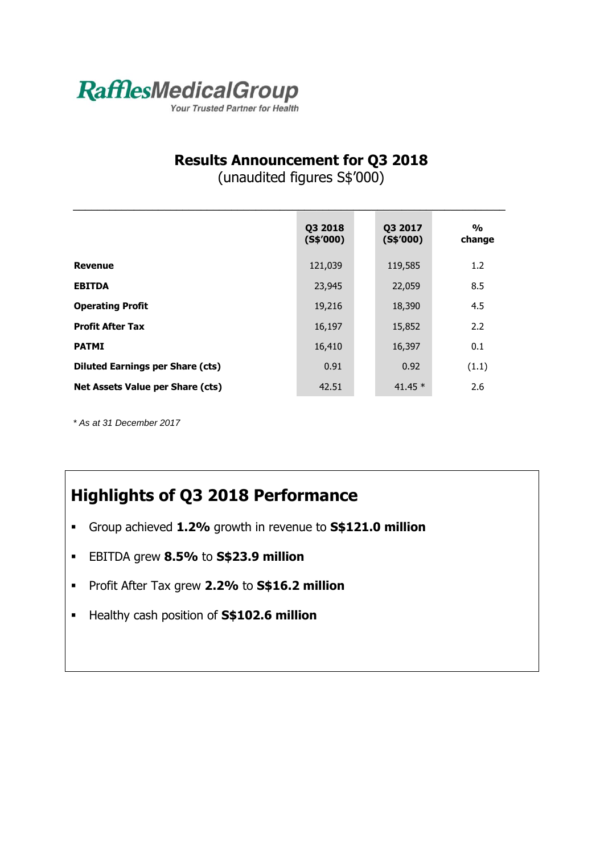

Your Trusted Partner for Health

## **Results Announcement for Q3 2018**

(unaudited figures S\$'000)

 $\mathcal{L}_\mathcal{L} = \mathcal{L}_\mathcal{L}$  , where  $\mathcal{L}_\mathcal{L}$  , we have the set of the set of the set of the set of the set of the set of the set of the set of the set of the set of the set of the set of the set of the set of the se

|                                         | Q3 2018<br>$($ S\$'000) | Q3 2017<br>$($ S\$'000) | $\frac{0}{0}$<br>change |
|-----------------------------------------|-------------------------|-------------------------|-------------------------|
| <b>Revenue</b>                          | 121,039                 | 119,585                 | 1.2                     |
| <b>EBITDA</b>                           | 23,945                  | 22,059                  | 8.5                     |
| <b>Operating Profit</b>                 | 19,216                  | 18,390                  | 4.5                     |
| <b>Profit After Tax</b>                 | 16,197                  | 15,852                  | 2.2                     |
| <b>PATMI</b>                            | 16,410                  | 16,397                  | 0.1                     |
| <b>Diluted Earnings per Share (cts)</b> | 0.91                    | 0.92                    | (1.1)                   |
| Net Assets Value per Share (cts)        | 42.51                   | 41.45 $*$               | 2.6                     |

*\* As at 31 December 2017*

## **Highlights of Q3 2018 Performance**

- Group achieved **1.2%** growth in revenue to **S\$121.0 million**
- EBITDA grew **8.5%** to **S\$23.9 million**
- Profit After Tax grew **2.2%** to **S\$16.2 million**
- Healthy cash position of **S\$102.6 million**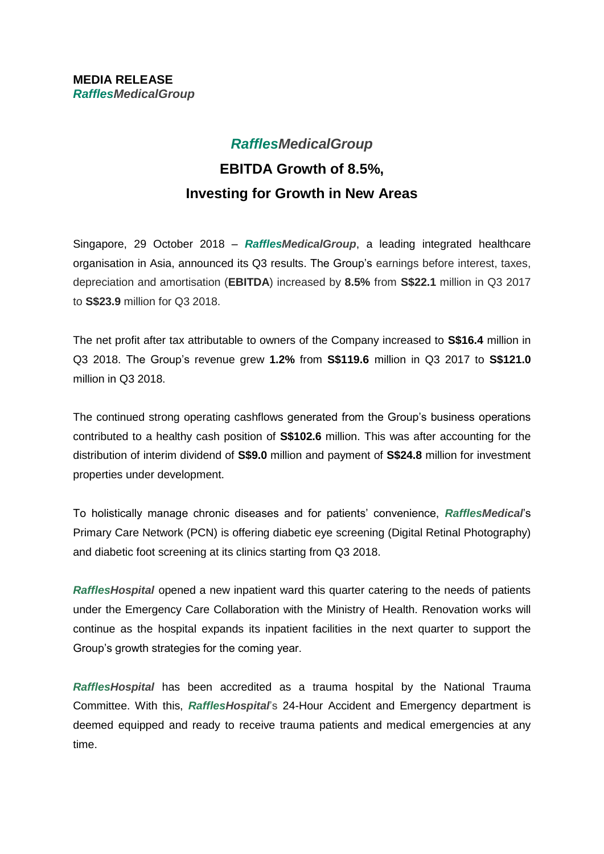## *RafflesMedicalGroup* **EBITDA Growth of 8.5%, Investing for Growth in New Areas**

Singapore, 29 October 2018 – *RafflesMedicalGroup*, a leading integrated healthcare organisation in Asia, announced its Q3 results. The Group's earnings before interest, taxes, depreciation and amortisation (**EBITDA**) increased by **8.5%** from **S\$22.1** million in Q3 2017 to **S\$23.9** million for Q3 2018.

The net profit after tax attributable to owners of the Company increased to **S\$16.4** million in Q3 2018. The Group's revenue grew **1.2%** from **S\$119.6** million in Q3 2017 to **S\$121.0** million in Q3 2018.

The continued strong operating cashflows generated from the Group's business operations contributed to a healthy cash position of **S\$102.6** million. This was after accounting for the distribution of interim dividend of **S\$9.0** million and payment of **S\$24.8** million for investment properties under development.

To holistically manage chronic diseases and for patients' convenience, *RafflesMedical*'s Primary Care Network (PCN) is offering diabetic eye screening (Digital Retinal Photography) and diabetic foot screening at its clinics starting from Q3 2018.

*RafflesHospital* opened a new inpatient ward this quarter catering to the needs of patients under the Emergency Care Collaboration with the Ministry of Health. Renovation works will continue as the hospital expands its inpatient facilities in the next quarter to support the Group's growth strategies for the coming year.

*RafflesHospital* has been accredited as a trauma hospital by the National Trauma Committee. With this, *RafflesHospital*'s 24-Hour Accident and Emergency department is deemed equipped and ready to receive trauma patients and medical emergencies at any time.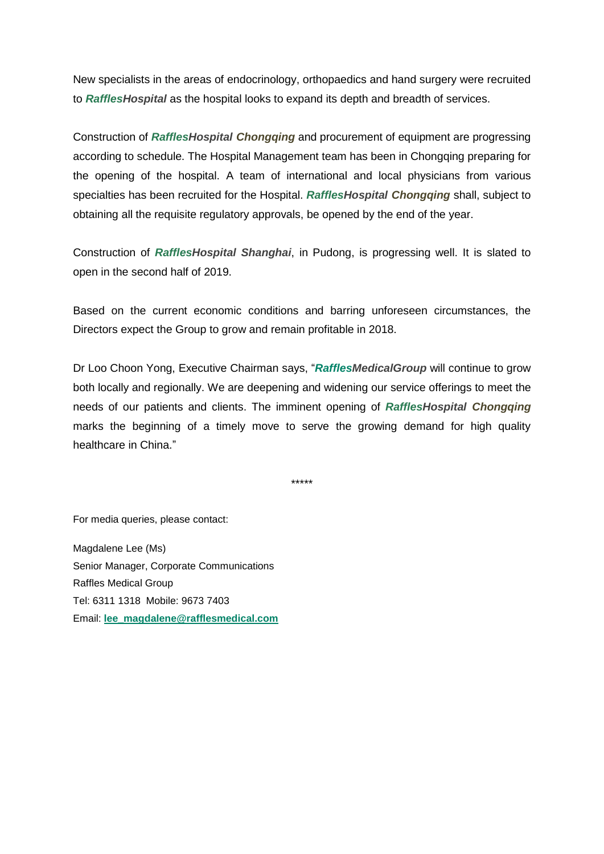New specialists in the areas of endocrinology, orthopaedics and hand surgery were recruited to *RafflesHospital* as the hospital looks to expand its depth and breadth of services.

Construction of *RafflesHospital Chongqing* and procurement of equipment are progressing according to schedule. The Hospital Management team has been in Chongqing preparing for the opening of the hospital. A team of international and local physicians from various specialties has been recruited for the Hospital. *RafflesHospital Chongqing* shall, subject to obtaining all the requisite regulatory approvals, be opened by the end of the year.

Construction of *RafflesHospital Shanghai*, in Pudong, is progressing well. It is slated to open in the second half of 2019.

Based on the current economic conditions and barring unforeseen circumstances, the Directors expect the Group to grow and remain profitable in 2018.

Dr Loo Choon Yong, Executive Chairman says, "*RafflesMedicalGroup* will continue to grow both locally and regionally. We are deepening and widening our service offerings to meet the needs of our patients and clients. The imminent opening of *RafflesHospital Chongqing* marks the beginning of a timely move to serve the growing demand for high quality healthcare in China."

\*\*\*\*\*

For media queries, please contact:

Magdalene Lee (Ms) Senior Manager, Corporate Communications Raffles Medical Group Tel: 6311 1318 Mobile: 9673 7403 Email: **[lee\\_magdalene@rafflesmedical.com](mailto:lee_magdalene@rafflesmedical.com)**